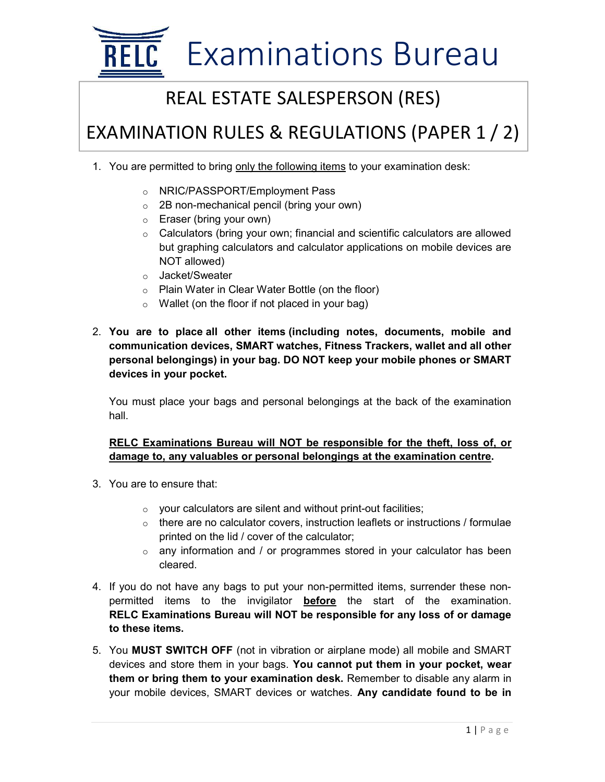

## REAL ESTATE SALESPERSON (RES)

## EXAMINATION RULES & REGULATIONS (PAPER 1 / 2)

- 1. You are permitted to bring only the following items to your examination desk:
	- o NRIC/PASSPORT/Employment Pass
	- o 2B non-mechanical pencil (bring your own)
	- o Eraser (bring your own)
	- o Calculators (bring your own; financial and scientific calculators are allowed but graphing calculators and calculator applications on mobile devices are NOT allowed)
	- o Jacket/Sweater
	- o Plain Water in Clear Water Bottle (on the floor)
	- $\circ$  Wallet (on the floor if not placed in your bag)
- 2. You are to place all other items (including notes, documents, mobile and communication devices, SMART watches, Fitness Trackers, wallet and all other personal belongings) in your bag. DO NOT keep your mobile phones or SMART devices in your pocket.

You must place your bags and personal belongings at the back of the examination hall.

## RELC Examinations Bureau will NOT be responsible for the theft, loss of, or damage to, any valuables or personal belongings at the examination centre.

- 3. You are to ensure that:
	- $\circ$  your calculators are silent and without print-out facilities;
	- $\circ$  there are no calculator covers, instruction leaflets or instructions / formulae printed on the lid / cover of the calculator;
	- $\circ$  any information and / or programmes stored in your calculator has been cleared.
- 4. If you do not have any bags to put your non-permitted items, surrender these nonpermitted items to the invigilator before the start of the examination. RELC Examinations Bureau will NOT be responsible for any loss of or damage to these items.
- 5. You MUST SWITCH OFF (not in vibration or airplane mode) all mobile and SMART devices and store them in your bags. You cannot put them in your pocket, wear them or bring them to your examination desk. Remember to disable any alarm in your mobile devices, SMART devices or watches. Any candidate found to be in